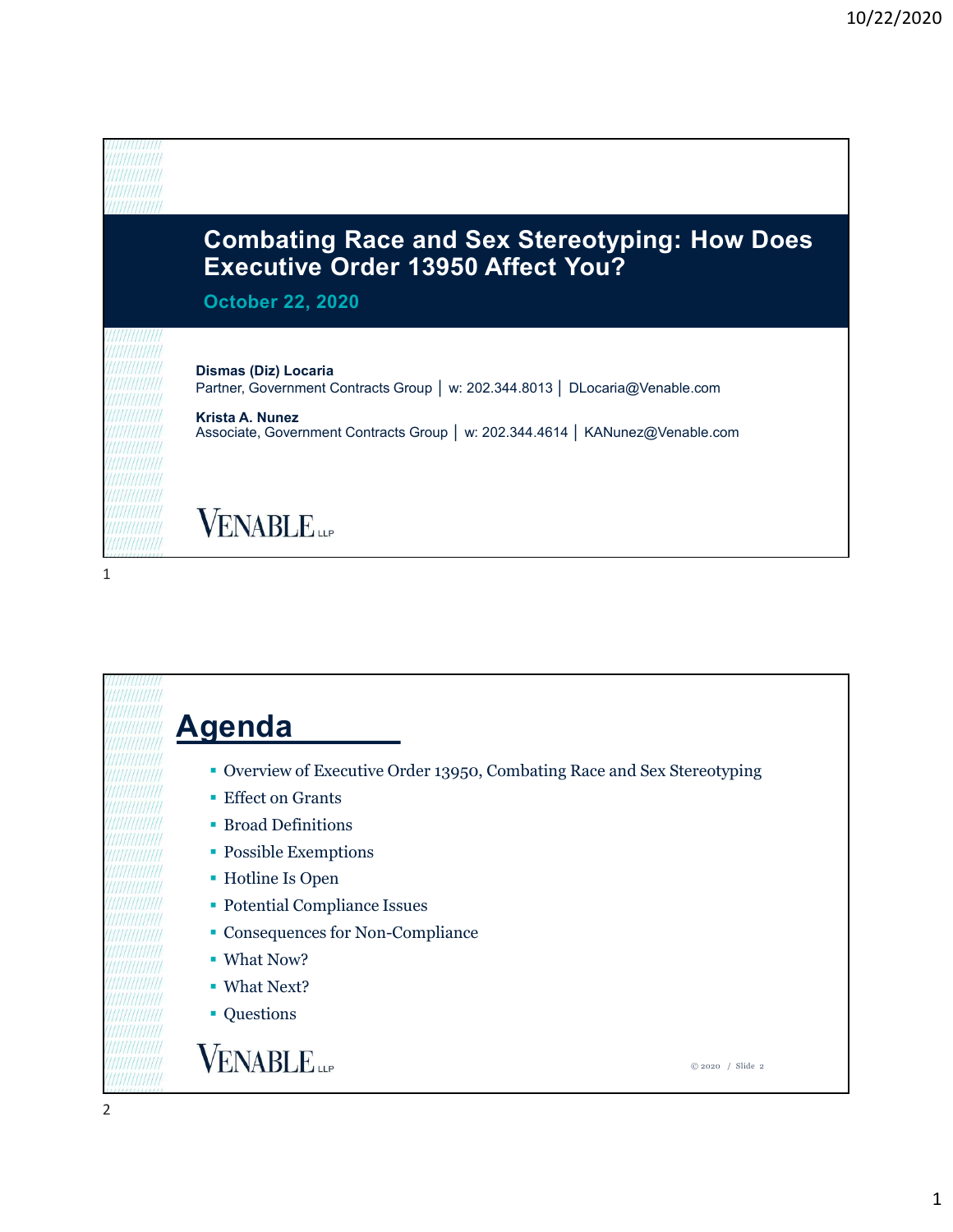

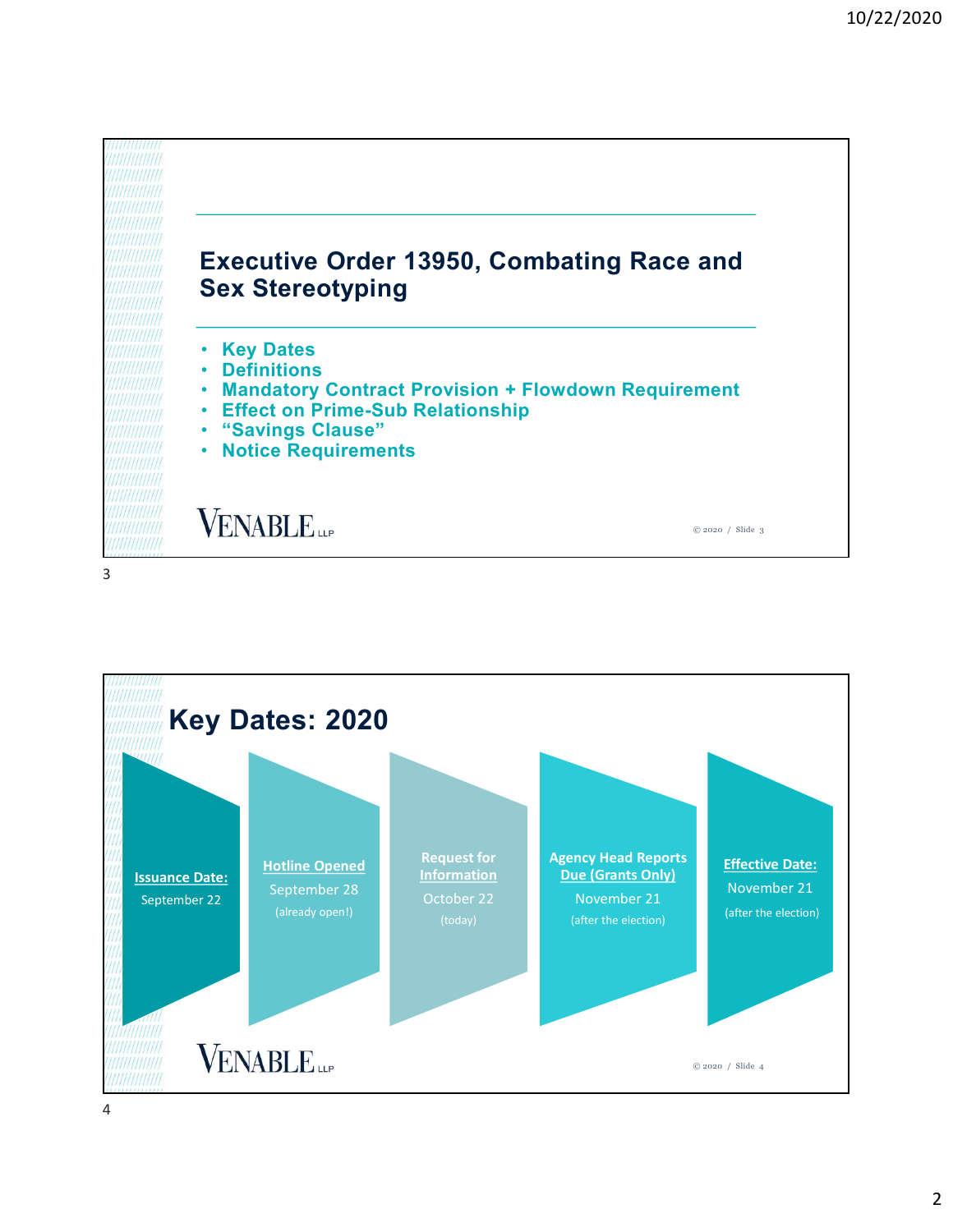

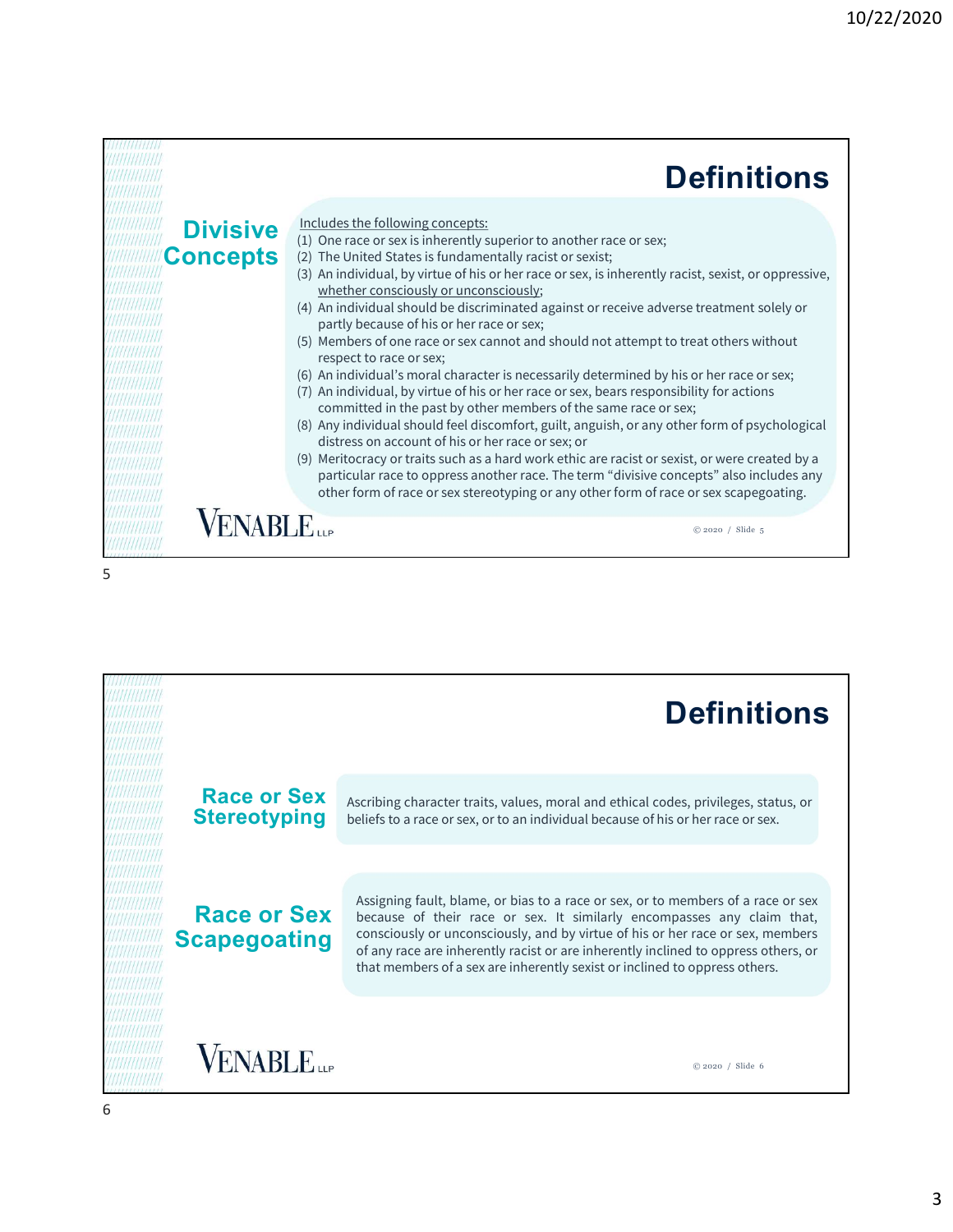|                             | <b>Definitions</b>                                                                                                                                                                                                                                                                                                                                                                                                                                                                                                                                                                                                                                                                                                                                                                                                                                                                                                                                                                                                                                                                                                                                                                                                                                                                     |
|-----------------------------|----------------------------------------------------------------------------------------------------------------------------------------------------------------------------------------------------------------------------------------------------------------------------------------------------------------------------------------------------------------------------------------------------------------------------------------------------------------------------------------------------------------------------------------------------------------------------------------------------------------------------------------------------------------------------------------------------------------------------------------------------------------------------------------------------------------------------------------------------------------------------------------------------------------------------------------------------------------------------------------------------------------------------------------------------------------------------------------------------------------------------------------------------------------------------------------------------------------------------------------------------------------------------------------|
| <b>Divisive</b><br>Concepts | Includes the following concepts:<br>(1) One race or sex is inherently superior to another race or sex;<br>(2) The United States is fundamentally racist or sexist;<br>(3) An individual, by virtue of his or her race or sex, is inherently racist, sexist, or oppressive,<br>whether consciously or unconsciously;<br>(4) An individual should be discriminated against or receive adverse treatment solely or<br>partly because of his or her race or sex;<br>(5) Members of one race or sex cannot and should not attempt to treat others without<br>respect to race or sex;<br>(6) An individual's moral character is necessarily determined by his or her race or sex;<br>(7) An individual, by virtue of his or her race or sex, bears responsibility for actions<br>committed in the past by other members of the same race or sex;<br>(8) Any individual should feel discomfort, guilt, anguish, or any other form of psychological<br>distress on account of his or her race or sex; or<br>(9) Meritocracy or traits such as a hard work ethic are racist or sexist, or were created by a<br>particular race to oppress another race. The term "divisive concepts" also includes any<br>other form of race or sex stereotyping or any other form of race or sex scapegoating. |
|                             | <b>VABLE</b><br>© 2020 / Slide 5                                                                                                                                                                                                                                                                                                                                                                                                                                                                                                                                                                                                                                                                                                                                                                                                                                                                                                                                                                                                                                                                                                                                                                                                                                                       |

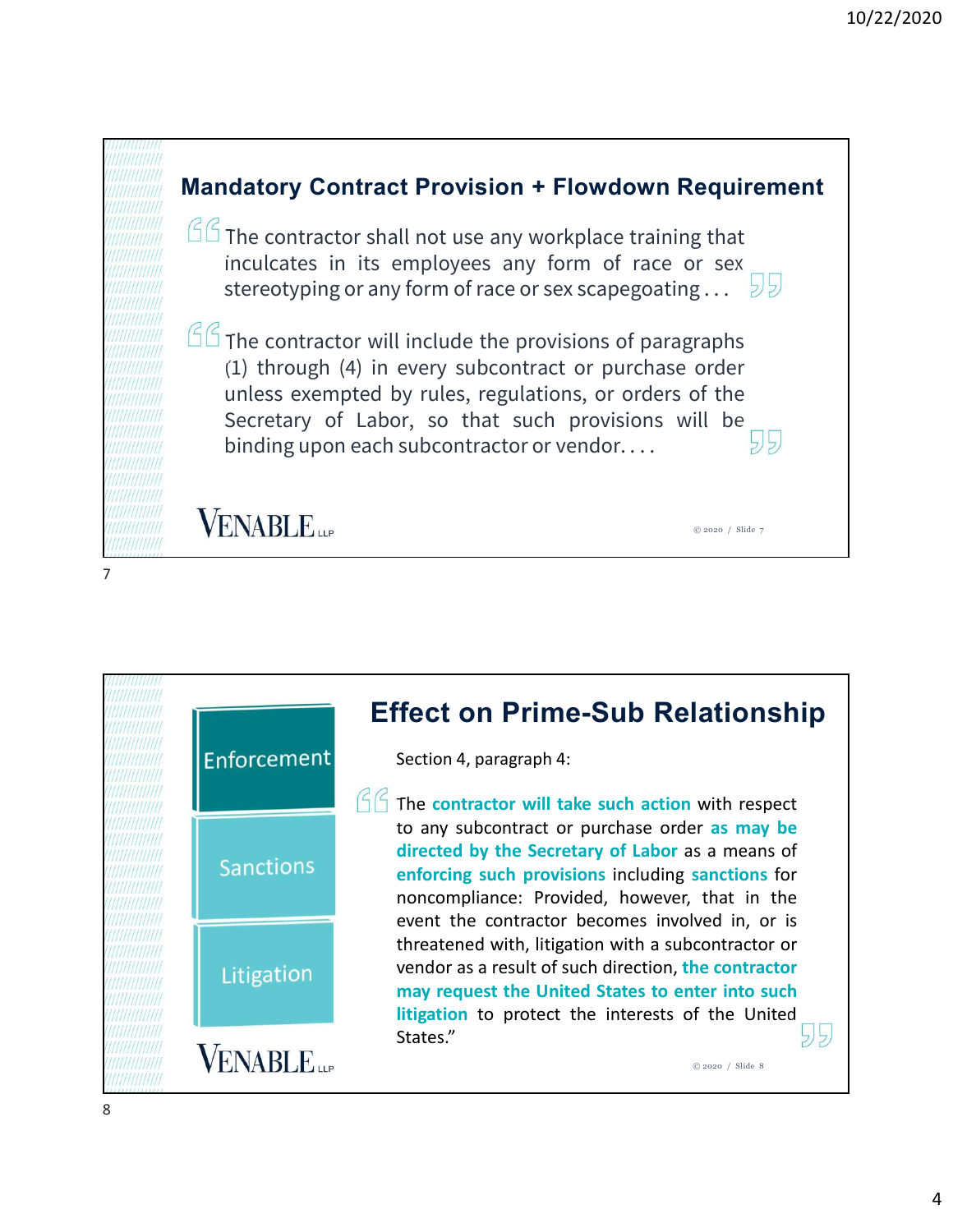

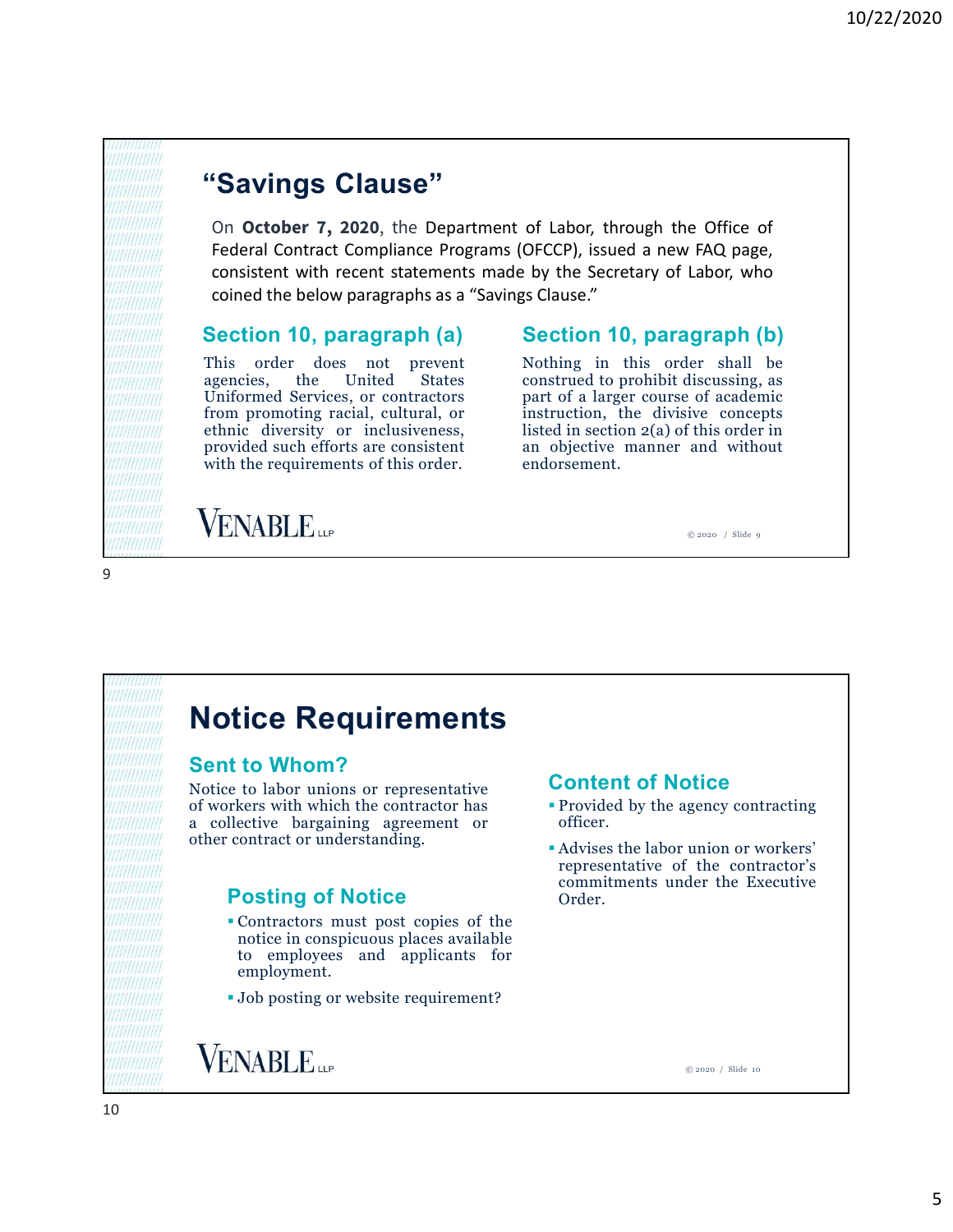## "Savings Clause"

**Example 19 10**<br> **This order does not prevent of the set of the control of the control of the set of the control of the consistent with recent statements and event of the Secretary of Labor, who coined the below paragraph Example 5 (1998)**<br> **Example 5 (1998)**<br> **Example 5 (1998)**<br> **CALCE CONDIBATE:**<br> **Example 10 (1999)**<br> **Example 10 (1999)**<br> **Example 10 (1999)**<br> **Example 10 (1999)**<br> **Example 10 (1999)**<br> **Example 10 (1999)**<br> **Example 10 (19** Uniformed Services, or contractors **from 10.12000 11.12000**<br> **from Allied Science 3.1200**, the Department of Labor, through the Office of Federal Contract Compliance Programs (OFCCP), issued a new FAQ page, consistent with recent statements made by the Sec **Example 18 Clause Clause Clause Clause Clause Clause Clause Clause Controllation**<br> **Saving Clause Controllation** (OFCCP), issued a new FAQ page,<br>
Federal Contract Compliance Programs (OFCCP), issued a new FAQ page,<br>
cons **"Savings Clause"**<br> **(Savings Clause)**<br> **(Savings Clause)**<br> **(Saving Clause)**<br> **(Saving Clause)**<br> **(Saving Clause)**<br> **(Saving Clause)**<br> **(Section 10, paragraph (a)**<br> **(Section 10, paragraph (a)**<br> **(Section 10, paragraph ( "Savings Clause"**<br>
On **October 7, 2020**, the Department of Labor, through the Office of<br>
Federal Contract Compliance Programs (OFCCP), issued a new FAQ page,<br>
consistent with recent statements made by the Secretary of La 10/22/2020<br> **Savings Clause"**<br>
On **october 7, 2020**, the Department of Labor, through the Office of<br>
Federal Contract Compliance Programs (OFCCP), issued a new FAQ page,<br>
consistent with recent statements made by the Secre 10/22/2020<br> **Savings Clause**<br> **Savings Clause**<br> **Contract Compliance Programs (OFCCP), issued a new FAQ page,**<br> **Contract Compliance Programs (OFCCP), issued a new FAQ page,**<br> **Contract Compliance Programs (OFCCP), issued Consistent Secretary of Labor**<br> **Consider Secretary Secretary of Labor**, through the Office of<br> **Consistent Consilience Programs (OFCCP)**, issued a new FAQ page,<br> **Consistent with recent statements made by the Secretary** 10/22/2020<br> **Savings Clause**"<br>
On **october 7, 2020**, the Department of Labor, through the Office of<br>
Federal Contract Compliance Programs (OFCCP), issued a new FAQ page,<br>
consistent with recent statements made by the Secre

## Section 10, paragraph (a) Section 10, paragraph (b)

9

10/22/2020<br>
of Labor, through the Office of<br>
OFCCP), issued a new FAQ page,<br>
by the Secretary of Labor, who<br>
is Clause."<br>
Section 10, paragraph (b)<br>
Nothing in this order shall be<br>
construed to prohibit discussing, as<br>
par 10/22/2020<br>
of Labor, through the Office of<br>
OFCCP), issued a new FAQ page,<br>
by the Secretary of Labor, who<br>
s Clause."<br>
Section 10, paragraph (b)<br>
Nothing in this order shall be<br>
construed to prohibit discussing, as<br>
part 10/22/2020<br>
of Labor, through the Office of<br>
OFCCP), issued a new FAQ page,<br>
by the Secretary of Labor, who<br>
is Clause."<br> **Section 10, paragraph (b)**<br>
Nothing in this order shall be<br>
construed to prohibit discussing, as<br> 10/22/2020<br>
of Labor, through the Office of<br>
OFCCP), issued a new FAQ page,<br>
by the Secretary of Labor, who<br>
is Clause."<br>
Section 10, paragraph (b)<br>
Nothing in this order shall be<br>
construed to prohibit discussing, as<br>
par of Labor, through the Office of<br>OFCCP), issued a new FAQ page,<br>by the Secretary of Labor, who<br>sp Clause."<br>Section 10, paragraph (b)<br>Nothing in this order shall be<br>construed to prohibit discussing, as<br>part of a larger cour of Labor, through the Office of<br>OFCCP), issued a new FAQ page,<br>by the Secretary of Labor, who<br>s Clause."<br>**Section 10, paragraph (b)**<br>Nothing in this order shall be<br>construed to prohibit discussing, as<br>part of a larger cou endorsement. Uniformed Services, or contractors<br>
function promoting racial, cultural, or<br>
density or inclusiveness,<br>
thisted in section 2(a) of this order in<br>
provided such efforts are consistent<br>
with the requirements of this order.<br>

© 2020 / Slide 9

# Notice Requirements

## Sent to Whom?

From pronoting radial, cultural, or<br>
from provided such critical of this of the divisive concepts<br>
provided such efforts are consistent<br>
provided such efforts are consistent<br>
with the requirements of this order.<br>
<br> **SENAB** Final diversity or inclusiveness,<br>
with the requirements of this order and objective manner and without<br>
with the requirements of this order.<br>
with the requirements of this order.<br>
with the requirements of this order.<br>
<br> provided such efforts are consistent<br>
an objective manner and without<br>
with the requirements of this order.<br>
<br> **Notice Requirements**<br>
<br> **Sent to Whom?**<br>
<br>
Notice to labor unions or representative<br>
of workers with which the

- Contractors must post copies of the **CONSERVIER CONSERVIER CONSUMERTS**<br> **CONSERVIER CONSUMERTS**<br> **CONSUMERTS**<br> **CONSUMERTS**<br> **CONSUMERTS**<br> **CONSUMERTS**<br> **CONSUMERTS**<br> **CONSUMERTS**<br> **CONSUMERTS**<br> **CONSUMERTS**<br> **CONSUMERTS**<br> **CONSUMERTS**<br> **CONSUMERTS**<br> **CONSUM CONSET ACTES AND THE CONSET CONSET AND ACTLA CONSET (SUBSCREEN SURFACE)**<br>
to labor unions or representative<br>
decise with which the contract or a difference of the agency contracting<br>
ective bargaining agreement or<br>
contra employment. The Requirements<br>
to Whom?<br>
to Whom?<br>
to the contractive become<br>
the contractor has<br>
the contractor has<br>
expaining agreement or<br>
contractor understanding.<br>
the single of Motice<br>
Posting of Notice<br>
For website requirement?<br>
- 

## Content of Notice

- officer.
- or a magneton of Motice<br>
ernotion, the divisive concepts<br>
ed in section 2(a) of this order in<br>
objective manner and without<br>
orsement.<br>  $\bigcirc$ <br>  $\bigcirc$ <br>  $\bigcirc$ <br>  $\bigcirc$ <br>  $\bigcirc$ <br>  $\bigcirc$ <br>  $\bigcirc$ <br>  $\bigcirc$ <br>  $\bigcirc$ <br>  $\bigcirc$ <br>  $\bigcirc$ <br>  $\bigcirc$ <br> Advises the labor union or workers' represent.<br>
Screen of Notice<br>
Provided by the agency contracting<br>
officer.<br>
Advises the labor union or workers'<br>
representative of the contractor's<br>
commitments under the Executive<br>
Order. **Content of Notice**<br>
Content of Notice<br>
Provided by the agency contracting<br>
officer.<br>
Advises the labor union or workers'<br>
representative of the contractor's<br>
commitments under the Executive<br>
Order. Order. **Posting of Notice** commitments under the Executive order.

© 2020 / Slide 10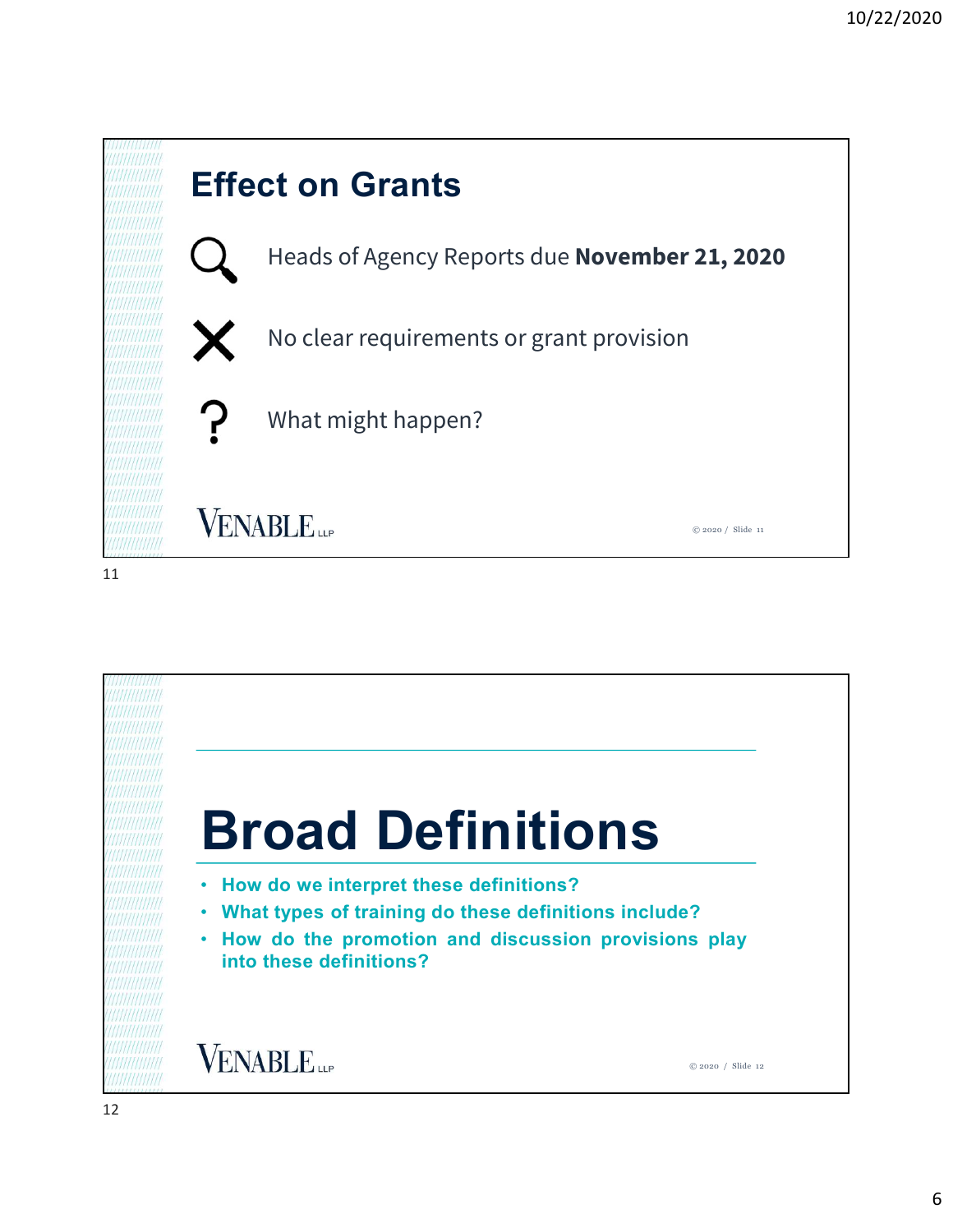

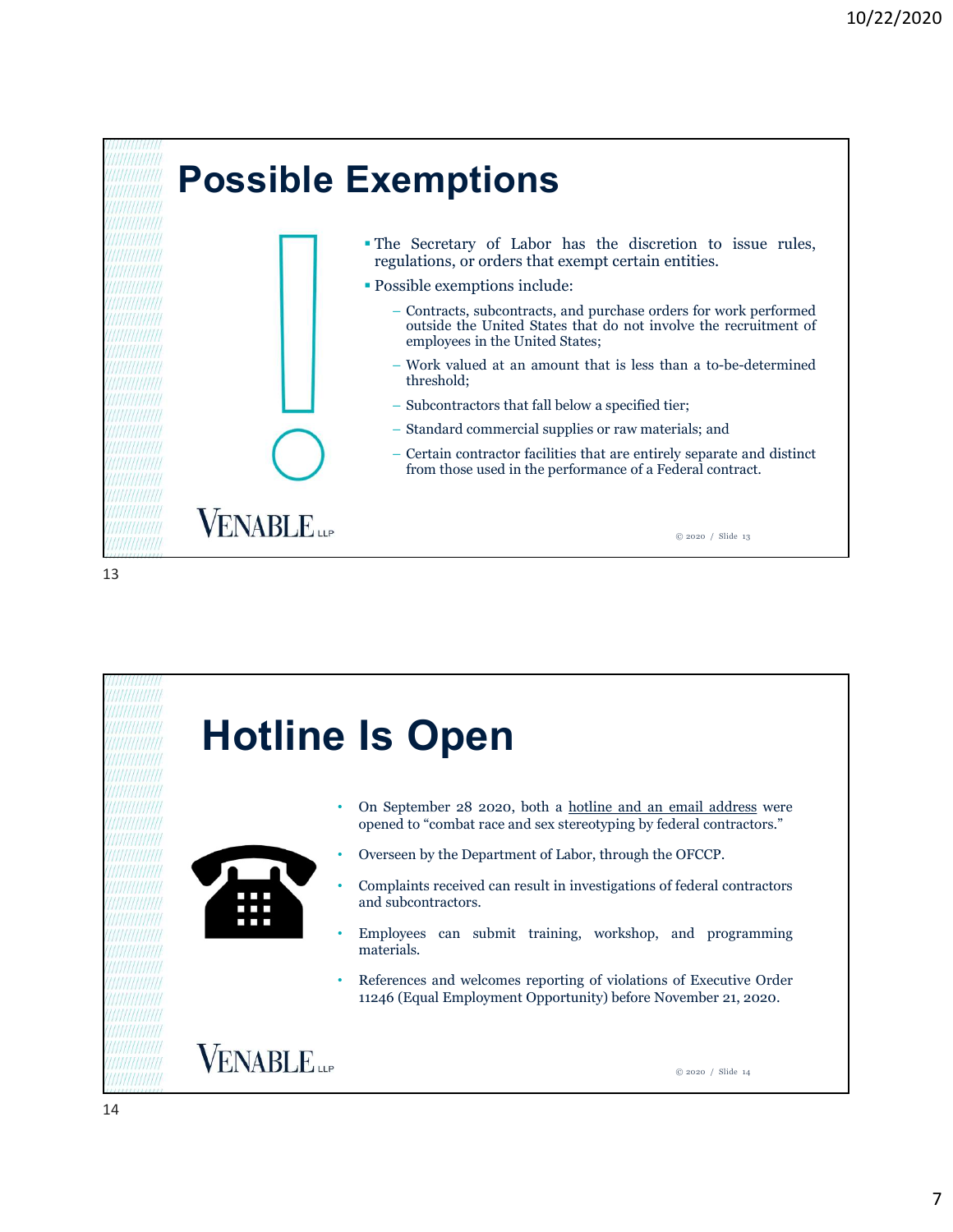

– Subcontractors that fall below a specified tier;<br>
− Standard commercial supplies or raw materials; and<br>
− Certain contractor facilities that are entirely separate and distinct<br>
from those used in the performance of a For Standard commercial supplies or raw materials; and<br>
− Certain contractor facilities that are entirely separate and distinct<br>
from those used in the performance of a Federal contract.<br>
■<br>
■<br>
■<br>
■<br>
■<br>
■<br>
■<br>
■<br>
<br>
<br>
<br>
<br> • Overseen by the Department of Audities that are entirely separate and distinct<br>from those used in the performance of a Federal contract.<br><br>
• Complaints received can result in investigations of federal contractors.<br>
• Com and subcontractors.<br>
• Conseptember 28 2020, both a hottine and an email address were<br>
• Overseen by the Department of Labor, through the OFCCP.<br>
• Complaints received can result in investigations of federal contractors<br>
• • On September 28 2020, both a hotline and an email address were<br>opened to "combat race and sex stereotyping by federal contractors."<br>• Overseen by the Department of Labor, through the OFCCP.<br>• Complaints received can resu 11246 (Equal Employment Opportunity) before non-solutionary of the same of the space of the Department of Labor, through the OFCCP.<br>
Complaints received can result in investigations of federal contractors."<br>
Complaints rec Hotline Is Open materials. **VENABLE** © 2020 / Slide 14 14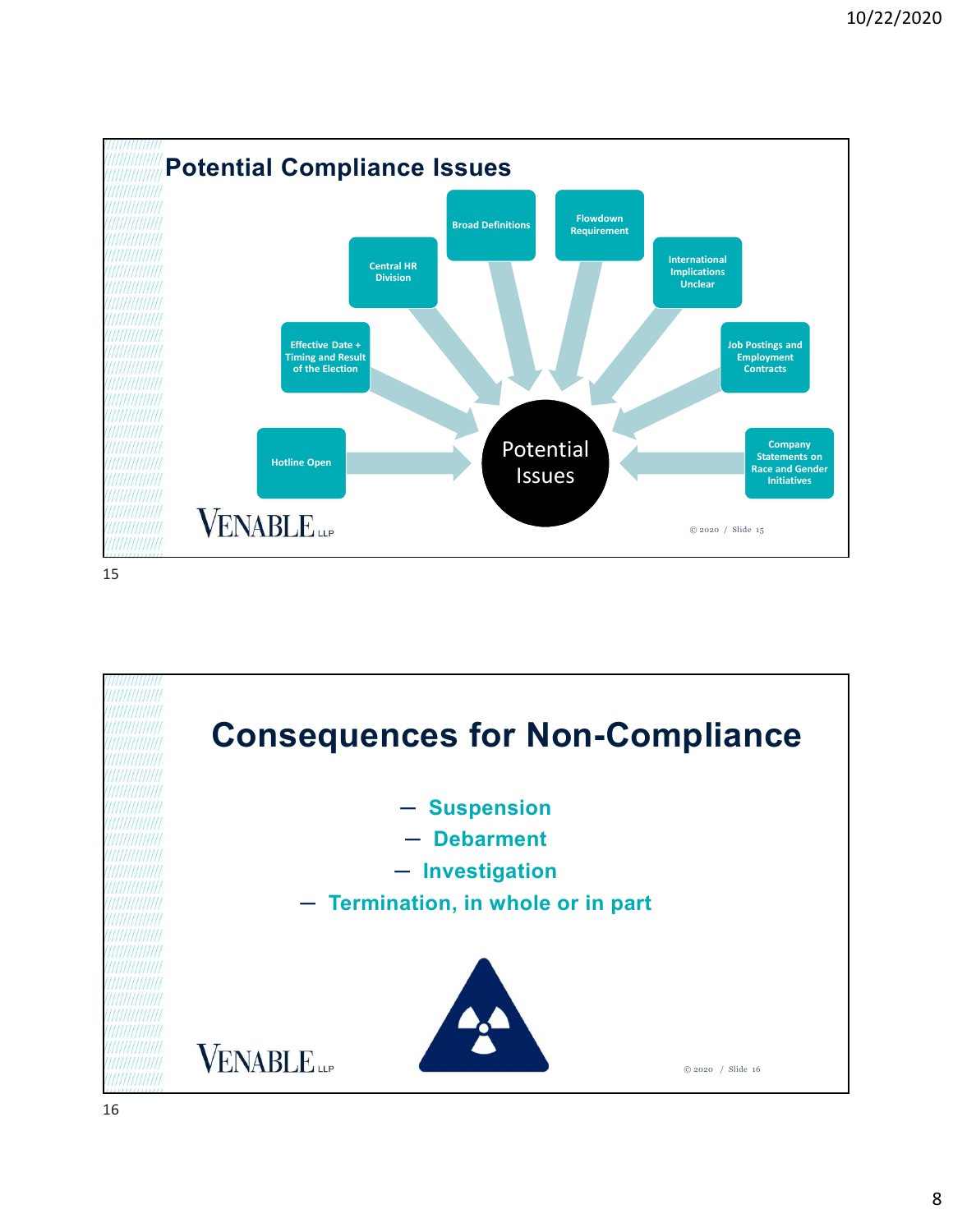

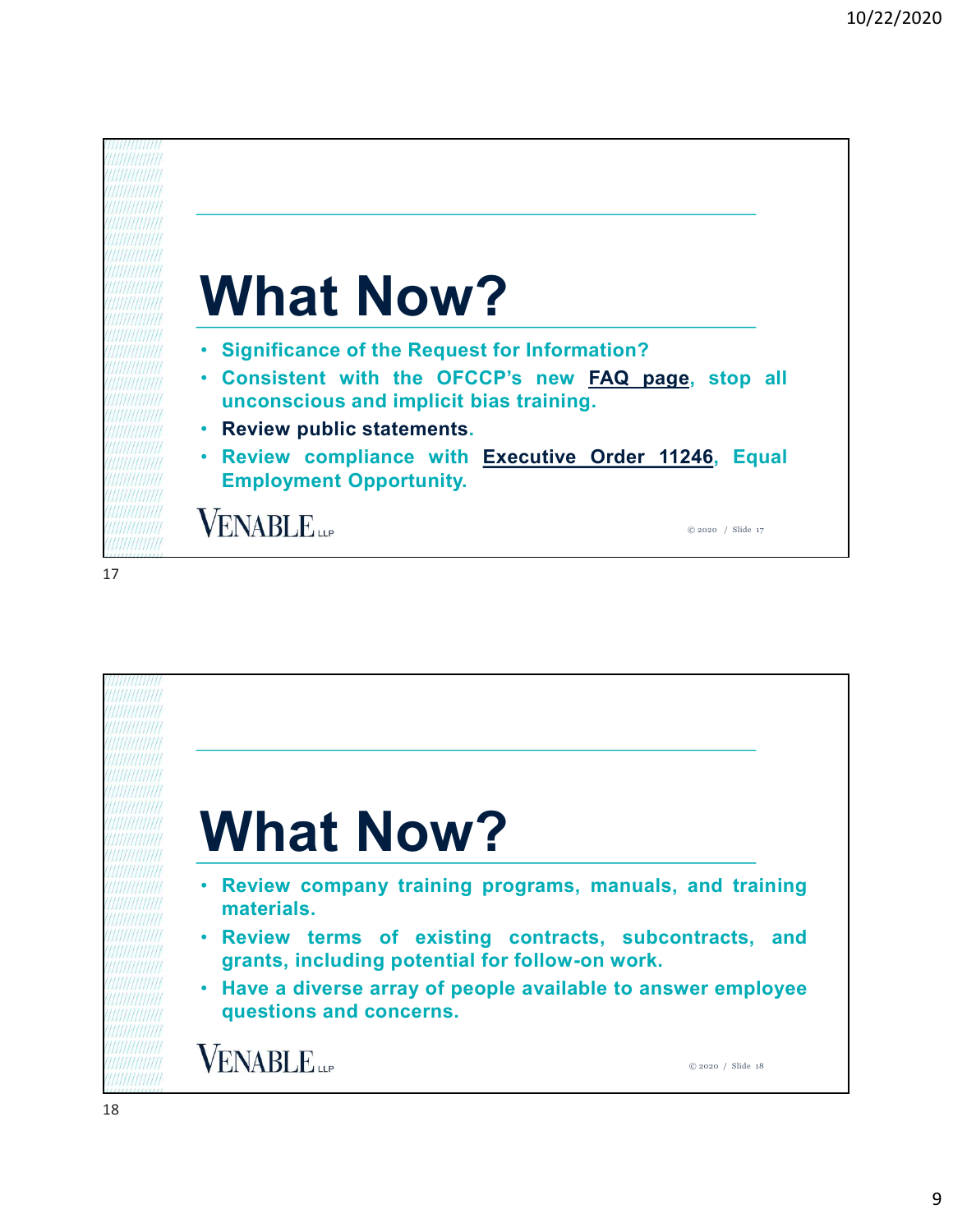